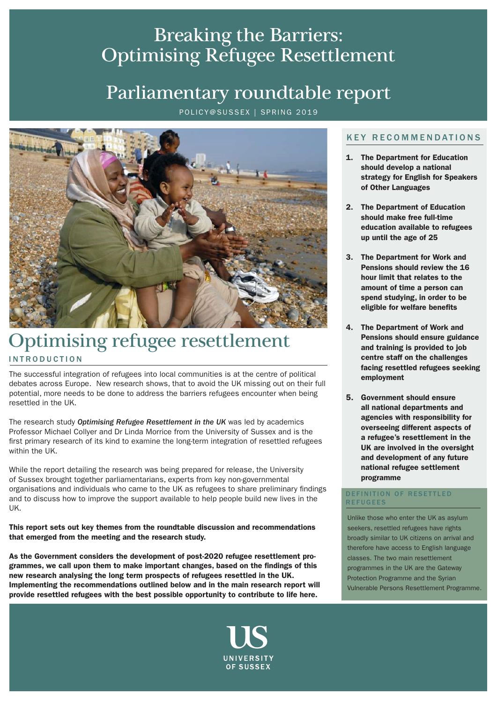### Breaking the Barriers: Optimising Refugee Resettlement

### Parliamentary roundtable report

POLICY@SUSSEX | SPRING 2019



### INTRODUCTION Optimising refugee resettlement

The successful integration of refugees into local communities is at the centre of political debates across Europe. New research shows, that to avoid the UK missing out on their full potential, more needs to be done to address the barriers refugees encounter when being resettled in the UK.

The research study *Optimising Refugee Resettlement in the UK* was led by academics Professor Michael Collyer and Dr Linda Morrice from the University of Sussex and is the first primary research of its kind to examine the long-term integration of resettled refugees within the UK.

While the report detailing the research was being prepared for release, the University of Sussex brought together parliamentarians, experts from key non-governmental organisations and individuals who came to the UK as refugees to share preliminary findings and to discuss how to improve the support available to help people build new lives in the UK.

This report sets out key themes from the roundtable discussion and recommendations that emerged from the meeting and the research study.

As the Government considers the development of post-2020 refugee resettlement programmes, we call upon them to make important changes, based on the findings of this new research analysing the long term prospects of refugees resettled in the UK. Implementing the recommendations outlined below and in the main research report will provide resettled refugees with the best possible opportunity to contribute to life here.



### KEY RECOMMENDATIONS

- 1. The Department for Education should develop a national strategy for English for Speakers of Other Languages
- 2. The Department of Education should make free full-time education available to refugees up until the age of 25
- 3. The Department for Work and Pensions should review the 16 hour limit that relates to the amount of time a person can spend studying, in order to be eligible for welfare benefits
- 4. The Department of Work and Pensions should ensure guidance and training is provided to job centre staff on the challenges facing resettled refugees seeking employment
- 5. Government should ensure all national departments and agencies with responsibility for overseeing different aspects of a refugee's resettlement in the UK are involved in the oversight and development of any future national refugee settlement programme

#### DEFINITION OF RESETTLED REFUGEES

Unlike those who enter the UK as asylum seekers, resettled refugees have rights broadly similar to UK citizens on arrival and therefore have access to English language classes. The two main resettlement programmes in the UK are the Gateway Protection Programme and the Syrian Vulnerable Persons Resettlement Programme.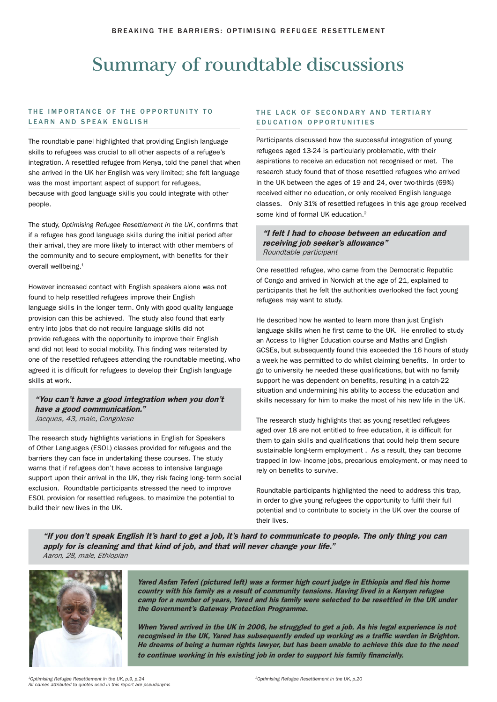## Summary of roundtable discussions

#### THE IMPORTANCE OF THE OPPORTUNITY TO LEARN AND SPEAK ENGLISH

The roundtable panel highlighted that providing English language skills to refugees was crucial to all other aspects of a refugee's integration. A resettled refugee from Kenya, told the panel that when she arrived in the UK her English was very limited; she felt language was the most important aspect of support for refugees, because with good language skills you could integrate with other people.

The study, *Optimising Refugee Resettlement in the UK*, confirms that if a refugee has good language skills during the initial period after their arrival, they are more likely to interact with other members of the community and to secure employment, with benefits for their overall wellbeing.<sup>1</sup>

However increased contact with English speakers alone was not found to help resettled refugees improve their English language skills in the longer term. Only with good quality language provision can this be achieved. The study also found that early entry into jobs that do not require language skills did not provide refugees with the opportunity to improve their English and did not lead to social mobility. This finding was reiterated by one of the resettled refugees attending the roundtable meeting, who agreed it is difficult for refugees to develop their English language skills at work.

"You can't have a good integration when you don't have a good communication." Jacques, 43, male, Congolese

The research study highlights variations in English for Speakers of Other Languages (ESOL) classes provided for refugees and the barriers they can face in undertaking these courses. The study warns that if refugees don't have access to intensive language support upon their arrival in the UK, they risk facing long- term social exclusion. Roundtable participants stressed the need to improve ESOL provision for resettled refugees, to maximize the potential to build their new lives in the UK.

#### THE LACK OF SECONDARY AND TERTIARY EDUCATION OPPORTUNITIES

Participants discussed how the successful integration of young refugees aged 13-24 is particularly problematic, with their aspirations to receive an education not recognised or met. The research study found that of those resettled refugees who arrived in the UK between the ages of 19 and 24, over two-thirds (69%) received either no education, or only received English language classes. Only 31% of resettled refugees in this age group received some kind of formal UK education.<sup>2</sup>

#### "I felt I had to choose between an education and receiving job seeker's allowance" Roundtable participant

One resettled refugee, who came from the Democratic Republic of Congo and arrived in Norwich at the age of 21, explained to participants that he felt the authorities overlooked the fact young refugees may want to study.

He described how he wanted to learn more than just English language skills when he first came to the UK. He enrolled to study an Access to Higher Education course and Maths and English GCSEs, but subsequently found this exceeded the 16 hours of study a week he was permitted to do whilst claiming benefits. In order to go to university he needed these qualifications, but with no family support he was dependent on benefits, resulting in a catch-22 situation and undermining his ability to access the education and skills necessary for him to make the most of his new life in the UK.

The research study highlights that as young resettled refugees aged over 18 are not entitled to free education, it is difficult for them to gain skills and qualifications that could help them secure sustainable long-term employment . As a result, they can become trapped in low- income jobs, precarious employment, or may need to rely on benefits to survive.

Roundtable participants highlighted the need to address this trap, in order to give young refugees the opportunity to fulfil their full potential and to contribute to society in the UK over the course of their lives.

"If you don't speak English it's hard to get a job, it's hard to communicate to people. The only thing you can apply for is cleaning and that kind of job, and that will never change your life." *Aaron, 28, male, Ethiopian* 



Yared Asfan Teferi (pictured left) was a former high court judge in Ethiopia and fled his home country with his family as a result of community tensions. Having lived in a Kenyan refugee camp for a number of years, Yared and his family were selected to be resettled in the UK under the Government's Gateway Protection Programme.

When Yared arrived in the UK in 2006, he struggled to get a job. As his legal experience is not recognised in the UK, Yared has subsequently ended up working as a traffic warden in Brighton. He dreams of being a human rights lawyer, but has been unable to achieve this due to the need to continue working in his existing job in order to support his family financially.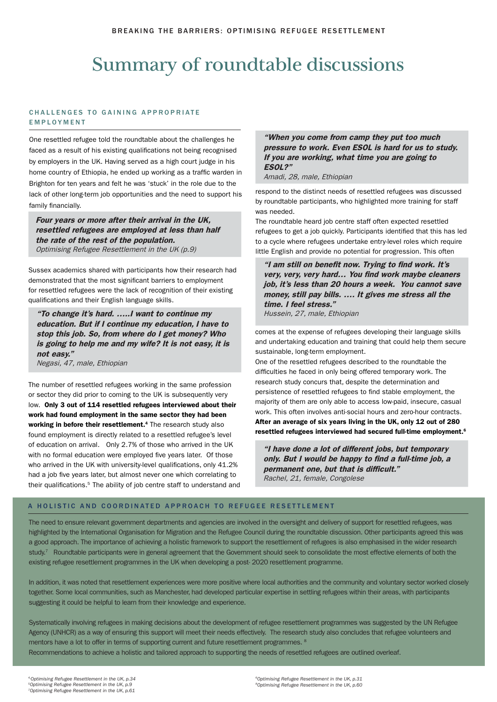# Summary of roundtable discussions

#### CHALLENGES TO GAINING APPROPRIATE EMPLOYMENT

One resettled refugee told the roundtable about the challenges he faced as a result of his existing qualifications not being recognised by employers in the UK. Having served as a high court judge in his home country of Ethiopia, he ended up working as a traffic warden in Brighton for ten years and felt he was 'stuck' in the role due to the lack of other long-term job opportunities and the need to support his family financially.

Four years or more after their arrival in the UK, resettled refugees are employed at less than half the rate of the rest of the population. Optimising Refugee Resettlement in the UK (p.9)

Sussex academics shared with participants how their research had demonstrated that the most significant barriers to employment for resettled refugees were the lack of recognition of their existing qualifications and their English language skills.

"To change it's hard. …..I want to continue my education. But if I continue my education, I have to stop this job. So, from where do I get money? Who is going to help me and my wife? It is not easy, it is not easy." Negasi, 47, male, Ethiopian

The number of resettled refugees working in the same profession or sector they did prior to coming to the UK is subsequently very low. Only 3 out of 114 resettled refugees interviewed about their work had found employment in the same sector they had been working in before their resettlement.<sup>4</sup> The research study also found employment is directly related to a resettled refugee's level of education on arrival. Only 2.7% of those who arrived in the UK with no formal education were employed five years later. Of those who arrived in the UK with university-level qualifications, only 41.2% had a job five years later, but almost never one which correlating to their qualifications.<sup>5</sup> The ability of job centre staff to understand and

"When you come from camp they put too much pressure to work. Even ESOL is hard for us to study. If you are working, what time you are going to ESOL?"

Amadi, 28, male, Ethiopian

respond to the distinct needs of resettled refugees was discussed by roundtable participants, who highlighted more training for staff was needed.

The roundtable heard job centre staff often expected resettled refugees to get a job quickly. Participants identified that this has led to a cycle where refugees undertake entry-level roles which require little English and provide no potential for progression. This often

"I am still on benefit now. Trying to find work. It's very, very, very hard… You find work maybe cleaners job, it's less than 20 hours a week. You cannot save money, still pay bills. …. It gives me stress all the time. I feel stress." Hussein, 27, male, Ethiopian

comes at the expense of refugees developing their language skills and undertaking education and training that could help them secure sustainable, long-term employment.

One of the resettled refugees described to the roundtable the difficulties he faced in only being offered temporary work. The research study concurs that, despite the determination and persistence of resettled refugees to find stable employment, the majority of them are only able to access low-paid, insecure, casual work. This often involves anti-social hours and zero-hour contracts. After an average of six years living in the UK, only 12 out of 280 resettled refugees interviewed had secured full-time employment.6

"I have done a lot of different jobs, but temporary only. But I would be happy to find a full-time job, a permanent one, but that is difficult." Rachel, 21, female, Congolese

#### A HOLISTIC AND COORDINATED APPROACH TO REFUGEE RESETTLEMENT

The need to ensure relevant government departments and agencies are involved in the oversight and delivery of support for resettled refugees, was highlighted by the International Organisation for Migration and the Refugee Council during the roundtable discussion. Other participants agreed this was a good approach. The importance of achieving a holistic framework to support the resettlement of refugees is also emphasised in the wider research study.<sup>7</sup> Roundtable participants were in general agreement that the Government should seek to consolidate the most effective elements of both the existing refugee resettlement programmes in the UK when developing a post- 2020 resettlement programme.

In addition, it was noted that resettlement experiences were more positive where local authorities and the community and voluntary sector worked closely together. Some local communities, such as Manchester, had developed particular expertise in settling refugees within their areas, with participants suggesting it could be helpful to learn from their knowledge and experience.

Systematically involving refugees in making decisions about the development of refugee resettlement programmes was suggested by the UN Refugee Agency (UNHCR) as a way of ensuring this support will meet their needs effectively. The research study also concludes that refugee volunteers and mentors have a lot to offer in terms of supporting current and future resettlement programmes. <sup>8</sup>

Recommendations to achieve a holistic and tailored approach to supporting the needs of resettled refugees are outlined overleaf.